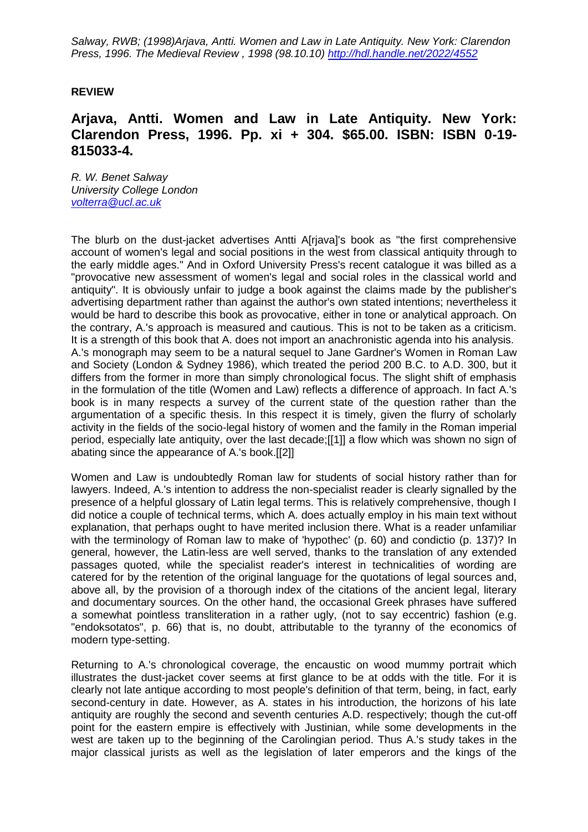*Salway, RWB; (1998)Arjava, Antti. Women and Law in Late Antiquity. New York: Clarendon Press, 1996. The Medieval Review , 1998 (98.10.10) http://hdl.handle.net/2022/4552*

## **REVIEW**

## **Arjava, Antti. Women and Law in Late Antiquity. New York: Clarendon Press, 1996. Pp. xi + 304. \$65.00. ISBN: ISBN 0-19- 815033-4.**

*R. W. Benet Salway University College London [volterra@ucl.ac.uk](mailto:volterra@ucl.ac.uk)*

The blurb on the dust-jacket advertises Antti A[rjava]'s book as "the first comprehensive account of women's legal and social positions in the west from classical antiquity through to the early middle ages." And in Oxford University Press's recent catalogue it was billed as a "provocative new assessment of women's legal and social roles in the classical world and antiquity". It is obviously unfair to judge a book against the claims made by the publisher's advertising department rather than against the author's own stated intentions; nevertheless it would be hard to describe this book as provocative, either in tone or analytical approach. On the contrary, A.'s approach is measured and cautious. This is not to be taken as a criticism. It is a strength of this book that A. does not import an anachronistic agenda into his analysis. A.'s monograph may seem to be a natural sequel to Jane Gardner's Women in Roman Law and Society (London & Sydney 1986), which treated the period 200 B.C. to A.D. 300, but it differs from the former in more than simply chronological focus. The slight shift of emphasis in the formulation of the title (Women and Law) reflects a difference of approach. In fact A.'s book is in many respects a survey of the current state of the question rather than the argumentation of a specific thesis. In this respect it is timely, given the flurry of scholarly activity in the fields of the socio-legal history of women and the family in the Roman imperial period, especially late antiquity, over the last decade;[[1]] a flow which was shown no sign of abating since the appearance of A.'s book.[[2]]

Women and Law is undoubtedly Roman law for students of social history rather than for lawyers. Indeed, A.'s intention to address the non-specialist reader is clearly signalled by the presence of a helpful glossary of Latin legal terms. This is relatively comprehensive, though I did notice a couple of technical terms, which A. does actually employ in his main text without explanation, that perhaps ought to have merited inclusion there. What is a reader unfamiliar with the terminology of Roman law to make of 'hypothec' (p. 60) and condictio (p. 137)? In general, however, the Latin-less are well served, thanks to the translation of any extended passages quoted, while the specialist reader's interest in technicalities of wording are catered for by the retention of the original language for the quotations of legal sources and, above all, by the provision of a thorough index of the citations of the ancient legal, literary and documentary sources. On the other hand, the occasional Greek phrases have suffered a somewhat pointless transliteration in a rather ugly, (not to say eccentric) fashion (e.g. "endoksotatos", p. 66) that is, no doubt, attributable to the tyranny of the economics of modern type-setting.

Returning to A.'s chronological coverage, the encaustic on wood mummy portrait which illustrates the dust-jacket cover seems at first glance to be at odds with the title. For it is clearly not late antique according to most people's definition of that term, being, in fact, early second-century in date. However, as A. states in his introduction, the horizons of his late antiquity are roughly the second and seventh centuries A.D. respectively; though the cut-off point for the eastern empire is effectively with Justinian, while some developments in the west are taken up to the beginning of the Carolingian period. Thus A.'s study takes in the major classical jurists as well as the legislation of later emperors and the kings of the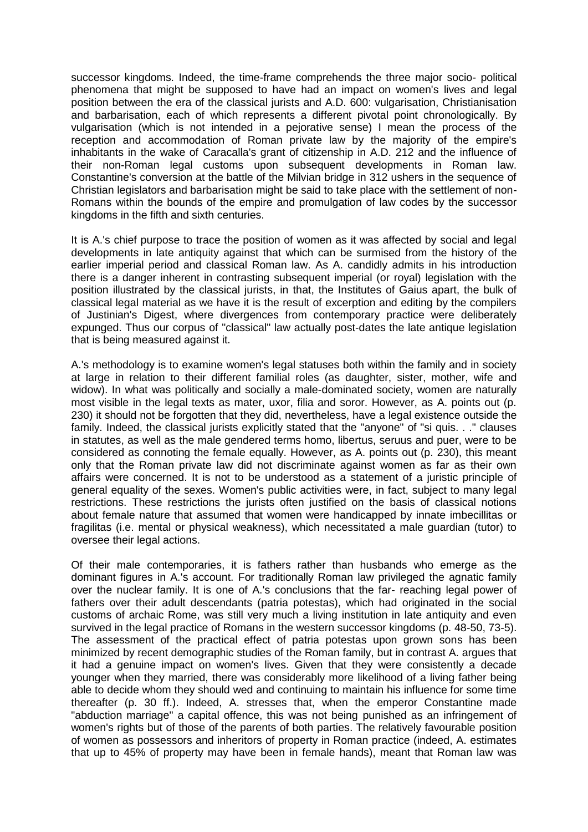successor kingdoms. Indeed, the time-frame comprehends the three major socio- political phenomena that might be supposed to have had an impact on women's lives and legal position between the era of the classical jurists and A.D. 600: vulgarisation, Christianisation and barbarisation, each of which represents a different pivotal point chronologically. By vulgarisation (which is not intended in a pejorative sense) I mean the process of the reception and accommodation of Roman private law by the majority of the empire's inhabitants in the wake of Caracalla's grant of citizenship in A.D. 212 and the influence of their non-Roman legal customs upon subsequent developments in Roman law. Constantine's conversion at the battle of the Milvian bridge in 312 ushers in the sequence of Christian legislators and barbarisation might be said to take place with the settlement of non-Romans within the bounds of the empire and promulgation of law codes by the successor kingdoms in the fifth and sixth centuries.

It is A.'s chief purpose to trace the position of women as it was affected by social and legal developments in late antiquity against that which can be surmised from the history of the earlier imperial period and classical Roman law. As A. candidly admits in his introduction there is a danger inherent in contrasting subsequent imperial (or royal) legislation with the position illustrated by the classical jurists, in that, the Institutes of Gaius apart, the bulk of classical legal material as we have it is the result of excerption and editing by the compilers of Justinian's Digest, where divergences from contemporary practice were deliberately expunged. Thus our corpus of "classical" law actually post-dates the late antique legislation that is being measured against it.

A.'s methodology is to examine women's legal statuses both within the family and in society at large in relation to their different familial roles (as daughter, sister, mother, wife and widow). In what was politically and socially a male-dominated society, women are naturally most visible in the legal texts as mater, uxor, filia and soror. However, as A. points out (p. 230) it should not be forgotten that they did, nevertheless, have a legal existence outside the family. Indeed, the classical jurists explicitly stated that the "anyone" of "si quis. . ." clauses in statutes, as well as the male gendered terms homo, libertus, seruus and puer, were to be considered as connoting the female equally. However, as A. points out (p. 230), this meant only that the Roman private law did not discriminate against women as far as their own affairs were concerned. It is not to be understood as a statement of a juristic principle of general equality of the sexes. Women's public activities were, in fact, subject to many legal restrictions. These restrictions the jurists often justified on the basis of classical notions about female nature that assumed that women were handicapped by innate imbecillitas or fragilitas (i.e. mental or physical weakness), which necessitated a male guardian (tutor) to oversee their legal actions.

Of their male contemporaries, it is fathers rather than husbands who emerge as the dominant figures in A.'s account. For traditionally Roman law privileged the agnatic family over the nuclear family. It is one of A.'s conclusions that the far- reaching legal power of fathers over their adult descendants (patria potestas), which had originated in the social customs of archaic Rome, was still very much a living institution in late antiquity and even survived in the legal practice of Romans in the western successor kingdoms (p. 48-50, 73-5). The assessment of the practical effect of patria potestas upon grown sons has been minimized by recent demographic studies of the Roman family, but in contrast A. argues that it had a genuine impact on women's lives. Given that they were consistently a decade younger when they married, there was considerably more likelihood of a living father being able to decide whom they should wed and continuing to maintain his influence for some time thereafter (p. 30 ff.). Indeed, A. stresses that, when the emperor Constantine made "abduction marriage" a capital offence, this was not being punished as an infringement of women's rights but of those of the parents of both parties. The relatively favourable position of women as possessors and inheritors of property in Roman practice (indeed, A. estimates that up to 45% of property may have been in female hands), meant that Roman law was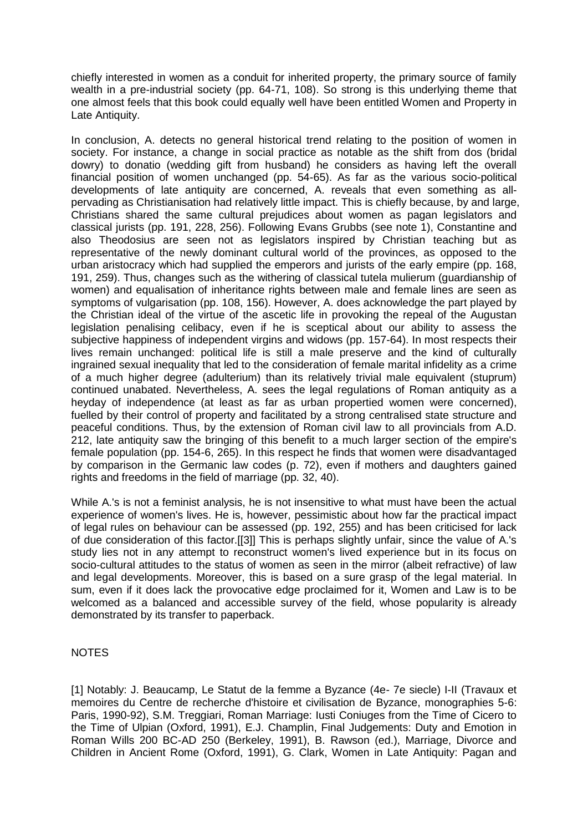chiefly interested in women as a conduit for inherited property, the primary source of family wealth in a pre-industrial society (pp. 64-71, 108). So strong is this underlying theme that one almost feels that this book could equally well have been entitled Women and Property in Late Antiquity.

In conclusion, A. detects no general historical trend relating to the position of women in society. For instance, a change in social practice as notable as the shift from dos (bridal dowry) to donatio (wedding gift from husband) he considers as having left the overall financial position of women unchanged (pp. 54-65). As far as the various socio-political developments of late antiquity are concerned, A. reveals that even something as allpervading as Christianisation had relatively little impact. This is chiefly because, by and large, Christians shared the same cultural prejudices about women as pagan legislators and classical jurists (pp. 191, 228, 256). Following Evans Grubbs (see note 1), Constantine and also Theodosius are seen not as legislators inspired by Christian teaching but as representative of the newly dominant cultural world of the provinces, as opposed to the urban aristocracy which had supplied the emperors and jurists of the early empire (pp. 168, 191, 259). Thus, changes such as the withering of classical tutela mulierum (guardianship of women) and equalisation of inheritance rights between male and female lines are seen as symptoms of vulgarisation (pp. 108, 156). However, A. does acknowledge the part played by the Christian ideal of the virtue of the ascetic life in provoking the repeal of the Augustan legislation penalising celibacy, even if he is sceptical about our ability to assess the subjective happiness of independent virgins and widows (pp. 157-64). In most respects their lives remain unchanged: political life is still a male preserve and the kind of culturally ingrained sexual inequality that led to the consideration of female marital infidelity as a crime of a much higher degree (adulterium) than its relatively trivial male equivalent (stuprum) continued unabated. Nevertheless, A. sees the legal regulations of Roman antiquity as a heyday of independence (at least as far as urban propertied women were concerned), fuelled by their control of property and facilitated by a strong centralised state structure and peaceful conditions. Thus, by the extension of Roman civil law to all provincials from A.D. 212, late antiquity saw the bringing of this benefit to a much larger section of the empire's female population (pp. 154-6, 265). In this respect he finds that women were disadvantaged by comparison in the Germanic law codes (p. 72), even if mothers and daughters gained rights and freedoms in the field of marriage (pp. 32, 40).

While A.'s is not a feminist analysis, he is not insensitive to what must have been the actual experience of women's lives. He is, however, pessimistic about how far the practical impact of legal rules on behaviour can be assessed (pp. 192, 255) and has been criticised for lack of due consideration of this factor.[[3]] This is perhaps slightly unfair, since the value of A.'s study lies not in any attempt to reconstruct women's lived experience but in its focus on socio-cultural attitudes to the status of women as seen in the mirror (albeit refractive) of law and legal developments. Moreover, this is based on a sure grasp of the legal material. In sum, even if it does lack the provocative edge proclaimed for it, Women and Law is to be welcomed as a balanced and accessible survey of the field, whose popularity is already demonstrated by its transfer to paperback.

## NOTES

[1] Notably: J. Beaucamp, Le Statut de la femme a Byzance (4e- 7e siecle) I-II (Travaux et memoires du Centre de recherche d'histoire et civilisation de Byzance, monographies 5-6: Paris, 1990-92), S.M. Treggiari, Roman Marriage: Iusti Coniuges from the Time of Cicero to the Time of Ulpian (Oxford, 1991), E.J. Champlin, Final Judgements: Duty and Emotion in Roman Wills 200 BC-AD 250 (Berkeley, 1991), B. Rawson (ed.), Marriage, Divorce and Children in Ancient Rome (Oxford, 1991), G. Clark, Women in Late Antiquity: Pagan and